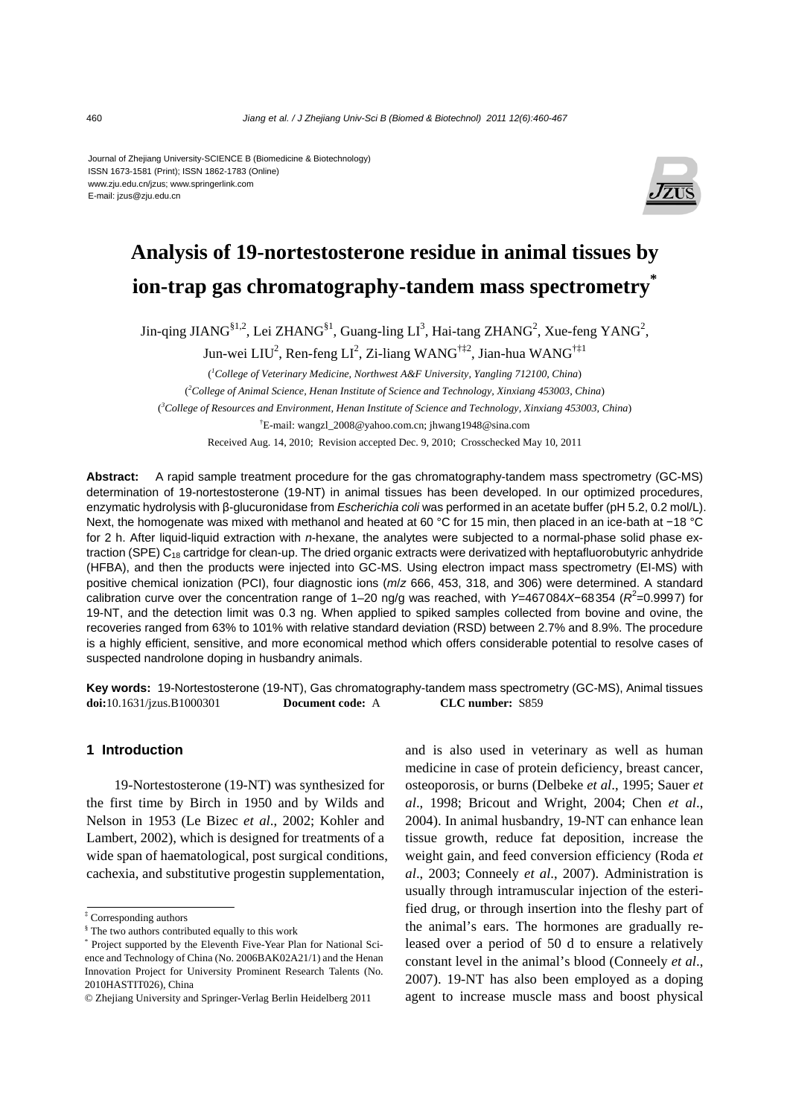Journal of Zhejiang University-SCIENCE B (Biomedicine & Biotechnology) ISSN 1673-1581 (Print); ISSN 1862-1783 (Online) www.zju.edu.cn/jzus; www.springerlink.com E-mail: jzus@zju.edu.cn



# **Analysis of 19-nortestosterone residue in animal tissues by ion-trap gas chromatography-tandem mass spectrometry\***

Jin-qing JIANG<sup>§1,2</sup>, Lei ZHANG<sup>§1</sup>, Guang-ling LI<sup>3</sup>, Hai-tang ZHANG<sup>2</sup>, Xue-feng YANG<sup>2</sup>,

Jun-wei LIU<sup>2</sup>, Ren-feng LI<sup>2</sup>, Zi-liang WANG<sup>†‡2</sup>, Jian-hua WANG<sup>†‡1</sup>

( *1 College of Veterinary Medicine, Northwest A&F University, Yangling 712100, China*) ( *2 College of Animal Science, Henan Institute of Science and Technology, Xinxiang 453003, China*) ( *3 College of Resources and Environment, Henan Institute of Science and Technology, Xinxiang 453003, China*) † E-mail: wangzl\_2008@yahoo.com.cn; jhwang1948@sina.com

Received Aug. 14, 2010; Revision accepted Dec. 9, 2010; Crosschecked May 10, 2011

**Abstract:** A rapid sample treatment procedure for the gas chromatography-tandem mass spectrometry (GC-MS) determination of 19-nortestosterone (19-NT) in animal tissues has been developed. In our optimized procedures, enzymatic hydrolysis with β-glucuronidase from *Escherichia coli* was performed in an acetate buffer (pH 5.2, 0.2 mol/L). Next, the homogenate was mixed with methanol and heated at 60 °C for 15 min, then placed in an ice-bath at −18 °C for 2 h. After liquid-liquid extraction with *n*-hexane, the analytes were subjected to a normal-phase solid phase extraction (SPE)  $C_{18}$  cartridge for clean-up. The dried organic extracts were derivatized with heptafluorobutyric anhydride (HFBA), and then the products were injected into GC-MS. Using electron impact mass spectrometry (EI-MS) with positive chemical ionization (PCI), four diagnostic ions (*m*/*z* 666, 453, 318, and 306) were determined. A standard calibration curve over the concentration range of 1–20 ng/g was reached, with *Y*=467084X-68354 (*R*<sup>2</sup>=0.9997) for 19-NT, and the detection limit was 0.3 ng. When applied to spiked samples collected from bovine and ovine, the recoveries ranged from 63% to 101% with relative standard deviation (RSD) between 2.7% and 8.9%. The procedure is a highly efficient, sensitive, and more economical method which offers considerable potential to resolve cases of suspected nandrolone doping in husbandry animals.

**Key words:** 19-Nortestosterone (19-NT), Gas chromatography-tandem mass spectrometry (GC-MS), Animal tissues **doi:**10.1631/jzus.B1000301 **Document code:** A **CLC number:** S859

# **1 Introduction**

19-Nortestosterone (19-NT) was synthesized for the first time by Birch in 1950 and by Wilds and Nelson in 1953 (Le Bizec *et al*., 2002; Kohler and Lambert, 2002), which is designed for treatments of a wide span of haematological, post surgical conditions, cachexia, and substitutive progestin supplementation,

and is also used in veterinary as well as human medicine in case of protein deficiency, breast cancer, osteoporosis, or burns (Delbeke *et al*., 1995; Sauer *et al*., 1998; Bricout and Wright, 2004; Chen *et al*., 2004). In animal husbandry, 19-NT can enhance lean tissue growth, reduce fat deposition, increase the weight gain, and feed conversion efficiency (Roda *et al*., 2003; Conneely *et al*., 2007). Administration is usually through intramuscular injection of the esterified drug, or through insertion into the fleshy part of the animal's ears. The hormones are gradually released over a period of 50 d to ensure a relatively constant level in the animal's blood (Conneely *et al*., 2007). 19-NT has also been employed as a doping agent to increase muscle mass and boost physical

<sup>‡</sup> Corresponding authors

<sup>§</sup> The two authors contributed equally to this work

<sup>\*</sup> Project supported by the Eleventh Five-Year Plan for National Science and Technology of China (No. 2006BAK02A21/1) and the Henan Innovation Project for University Prominent Research Talents (No. 2010HASTIT026), China

<sup>©</sup> Zhejiang University and Springer-Verlag Berlin Heidelberg 2011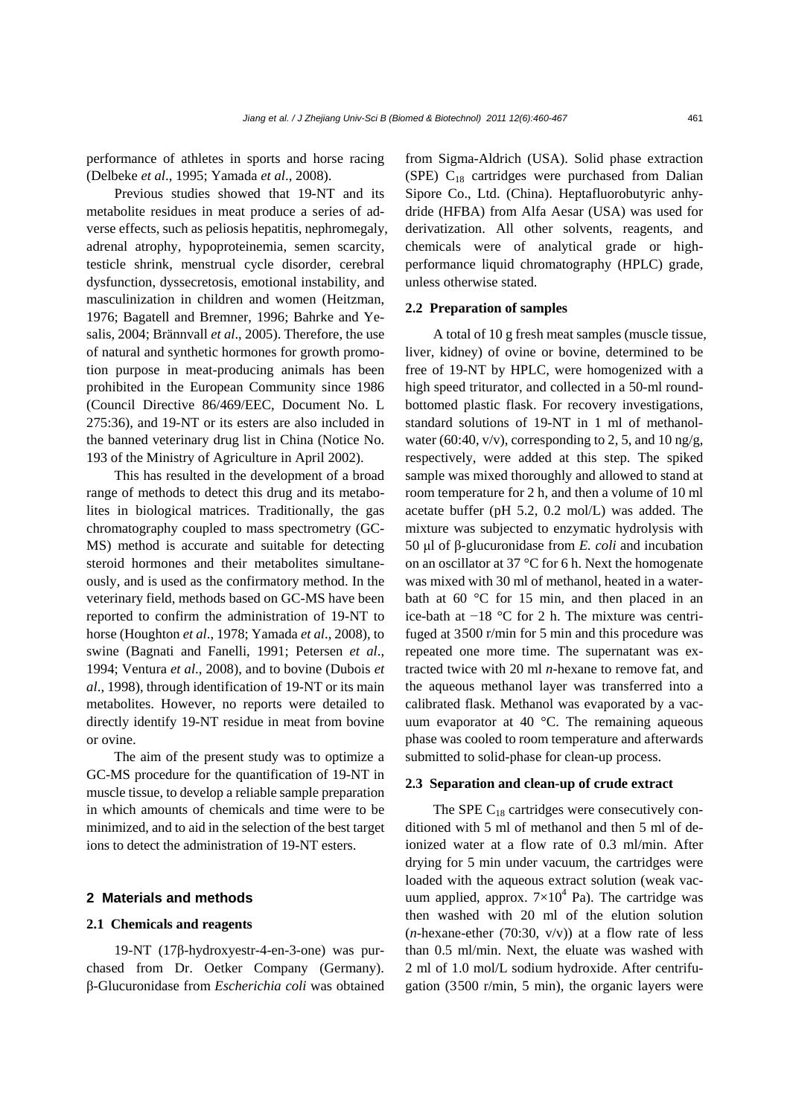performance of athletes in sports and horse racing (Delbeke *et al*., 1995; Yamada *et al*., 2008).

Previous studies showed that 19-NT and its metabolite residues in meat produce a series of adverse effects, such as peliosis hepatitis, nephromegaly, adrenal atrophy, hypoproteinemia, semen scarcity, testicle shrink, menstrual cycle disorder, cerebral dysfunction, dyssecretosis, emotional instability, and masculinization in children and women (Heitzman, 1976; Bagatell and Bremner, 1996; Bahrke and Yesalis, 2004; Brännvall *et al*., 2005). Therefore, the use of natural and synthetic hormones for growth promotion purpose in meat-producing animals has been prohibited in the European Community since 1986 (Council Directive 86/469/EEC, Document No. L 275:36), and 19-NT or its esters are also included in the banned veterinary drug list in China (Notice No. 193 of the Ministry of Agriculture in April 2002).

This has resulted in the development of a broad range of methods to detect this drug and its metabolites in biological matrices. Traditionally, the gas chromatography coupled to mass spectrometry (GC-MS) method is accurate and suitable for detecting steroid hormones and their metabolites simultaneously, and is used as the confirmatory method. In the veterinary field, methods based on GC-MS have been reported to confirm the administration of 19-NT to horse (Houghton *et al*., 1978; Yamada *et al*., 2008), to swine (Bagnati and Fanelli, 1991; Petersen *et al*., 1994; Ventura *et al*., 2008), and to bovine (Dubois *et al*., 1998), through identification of 19-NT or its main metabolites. However, no reports were detailed to directly identify 19-NT residue in meat from bovine or ovine.

The aim of the present study was to optimize a GC-MS procedure for the quantification of 19-NT in muscle tissue, to develop a reliable sample preparation in which amounts of chemicals and time were to be minimized, and to aid in the selection of the best target ions to detect the administration of 19-NT esters.

# **2 Materials and methods**

### **2.1 Chemicals and reagents**

19-NT (17β-hydroxyestr-4-en-3-one) was purchased from Dr. Oetker Company (Germany). β-Glucuronidase from *Escherichia coli* was obtained from Sigma-Aldrich (USA). Solid phase extraction (SPE)  $C_{18}$  cartridges were purchased from Dalian Sipore Co., Ltd. (China). Heptafluorobutyric anhydride (HFBA) from Alfa Aesar (USA) was used for derivatization. All other solvents, reagents, and chemicals were of analytical grade or highperformance liquid chromatography (HPLC) grade, unless otherwise stated.

### **2.2 Preparation of samples**

A total of 10 g fresh meat samples (muscle tissue, liver, kidney) of ovine or bovine, determined to be free of 19-NT by HPLC, were homogenized with a high speed triturator, and collected in a 50-ml roundbottomed plastic flask. For recovery investigations, standard solutions of 19-NT in 1 ml of methanolwater (60:40, v/v), corresponding to 2, 5, and 10 ng/g, respectively, were added at this step. The spiked sample was mixed thoroughly and allowed to stand at room temperature for 2 h, and then a volume of 10 ml acetate buffer (pH 5.2, 0.2 mol/L) was added. The mixture was subjected to enzymatic hydrolysis with 50 μl of β-glucuronidase from *E. coli* and incubation on an oscillator at 37 °C for 6 h. Next the homogenate was mixed with 30 ml of methanol, heated in a waterbath at 60 °C for 15 min, and then placed in an ice-bath at −18 °C for 2 h. The mixture was centrifuged at 3500 r/min for 5 min and this procedure was repeated one more time. The supernatant was extracted twice with 20 ml *n*-hexane to remove fat, and the aqueous methanol layer was transferred into a calibrated flask. Methanol was evaporated by a vacuum evaporator at 40 °C. The remaining aqueous phase was cooled to room temperature and afterwards submitted to solid-phase for clean-up process.

### **2.3 Separation and clean-up of crude extract**

The SPE  $C_{18}$  cartridges were consecutively conditioned with 5 ml of methanol and then 5 ml of deionized water at a flow rate of 0.3 ml/min. After drying for 5 min under vacuum, the cartridges were loaded with the aqueous extract solution (weak vacuum applied, approx.  $7\times10^4$  Pa). The cartridge was then washed with 20 ml of the elution solution  $(n$ -hexane-ether (70:30, v/v)) at a flow rate of less than 0.5 ml/min. Next, the eluate was washed with 2 ml of 1.0 mol/L sodium hydroxide. After centrifugation (3500 r/min, 5 min), the organic layers were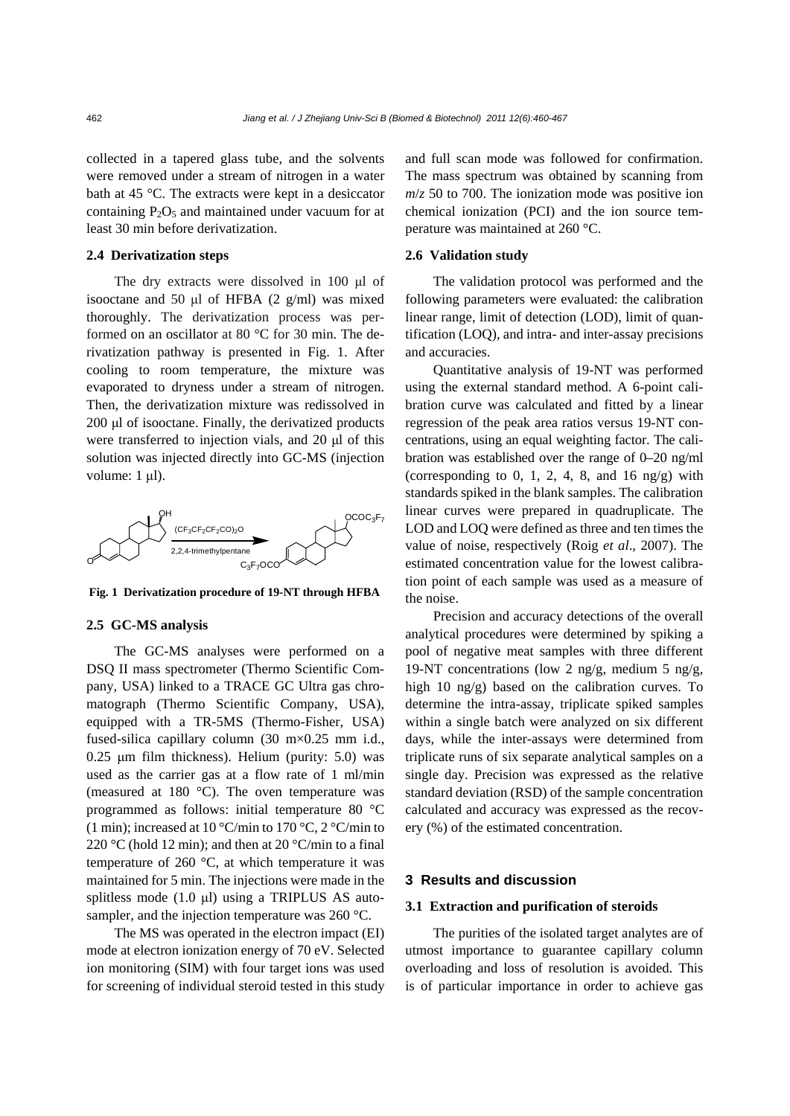collected in a tapered glass tube, and the solvents were removed under a stream of nitrogen in a water bath at 45 °C. The extracts were kept in a desiccator containing  $P_2O_5$  and maintained under vacuum for at least 30 min before derivatization.

# **2.4 Derivatization steps**

The dry extracts were dissolved in 100 μl of isooctane and 50  $\mu$ l of HFBA (2 g/ml) was mixed thoroughly. The derivatization process was performed on an oscillator at 80 °C for 30 min. The derivatization pathway is presented in Fig. 1. After cooling to room temperature, the mixture was evaporated to dryness under a stream of nitrogen. Then, the derivatization mixture was redissolved in 200 μl of isooctane. Finally, the derivatized products were transferred to injection vials, and 20 μl of this solution was injected directly into GC-MS (injection volume: 1 μl).



**Fig. 1 Derivatization procedure of 19-NT through HFBA**

#### **2.5 GC-MS analysis**

The GC-MS analyses were performed on a DSQ II mass spectrometer (Thermo Scientific Company, USA) linked to a TRACE GC Ultra gas chromatograph (Thermo Scientific Company, USA), equipped with a TR-5MS (Thermo-Fisher, USA) fused-silica capillary column (30 m×0.25 mm i.d., 0.25 μm film thickness). Helium (purity: 5.0) was used as the carrier gas at a flow rate of 1 ml/min (measured at 180 °C). The oven temperature was programmed as follows: initial temperature 80 °C (1 min); increased at 10 °C/min to 170 °C, 2 °C/min to 220 °C (hold 12 min); and then at 20 °C/min to a final temperature of 260 °C, at which temperature it was maintained for 5 min. The injections were made in the splitless mode (1.0 μl) using a TRIPLUS AS autosampler, and the injection temperature was 260 °C.

The MS was operated in the electron impact (EI) mode at electron ionization energy of 70 eV. Selected ion monitoring (SIM) with four target ions was used for screening of individual steroid tested in this study and full scan mode was followed for confirmation. The mass spectrum was obtained by scanning from  $m/z$  50 to 700. The ionization mode was positive ion chemical ionization (PCI) and the ion source temperature was maintained at 260 °C.

### **2.6 Validation study**

The validation protocol was performed and the following parameters were evaluated: the calibration linear range, limit of detection (LOD), limit of quantification (LOQ), and intra- and inter-assay precisions and accuracies.

Quantitative analysis of 19-NT was performed using the external standard method. A 6-point calibration curve was calculated and fitted by a linear regression of the peak area ratios versus 19-NT concentrations, using an equal weighting factor. The calibration was established over the range of 0–20 ng/ml (corresponding to 0, 1, 2, 4, 8, and 16 ng/g) with standards spiked in the blank samples. The calibration linear curves were prepared in quadruplicate. The LOD and LOQ were defined as three and ten times the value of noise, respectively (Roig *et al*., 2007). The estimated concentration value for the lowest calibration point of each sample was used as a measure of the noise.

Precision and accuracy detections of the overall analytical procedures were determined by spiking a pool of negative meat samples with three different 19-NT concentrations (low 2 ng/g, medium 5 ng/g, high 10 ng/g) based on the calibration curves. To determine the intra-assay, triplicate spiked samples within a single batch were analyzed on six different days, while the inter-assays were determined from triplicate runs of six separate analytical samples on a single day. Precision was expressed as the relative standard deviation (RSD) of the sample concentration calculated and accuracy was expressed as the recovery (%) of the estimated concentration.

# **3 Results and discussion**

## **3.1 Extraction and purification of steroids**

The purities of the isolated target analytes are of utmost importance to guarantee capillary column overloading and loss of resolution is avoided. This is of particular importance in order to achieve gas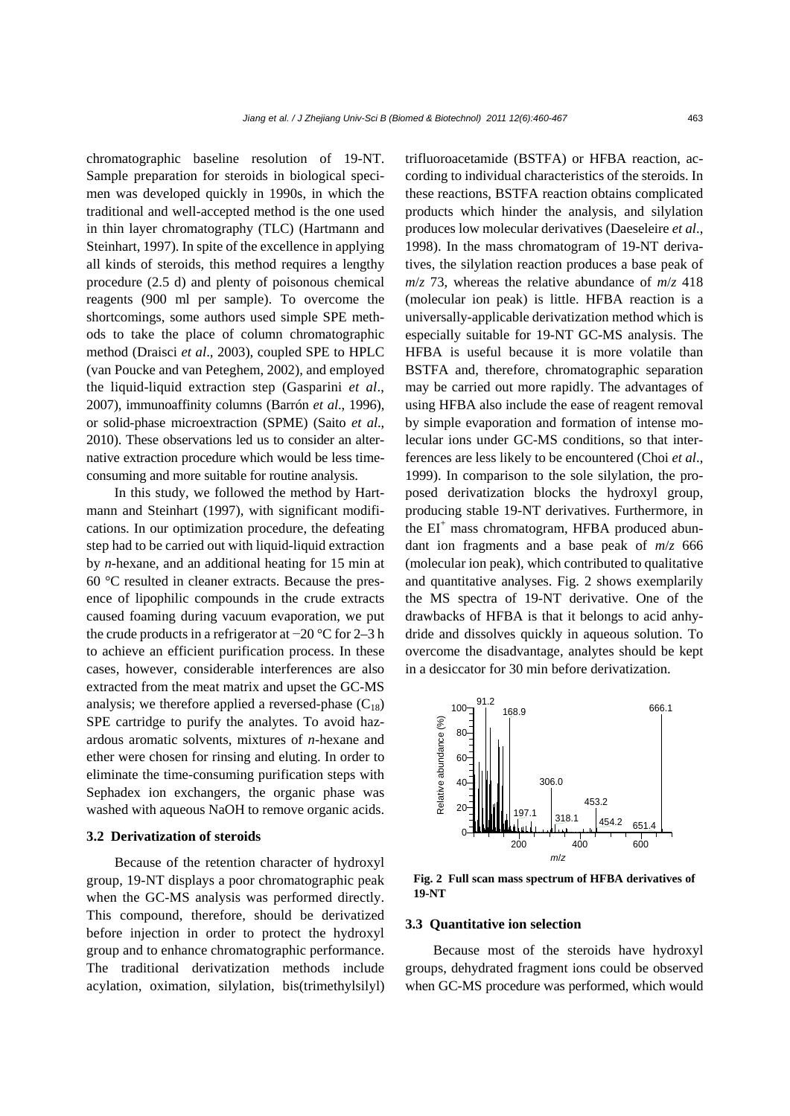chromatographic baseline resolution of 19-NT. Sample preparation for steroids in biological specimen was developed quickly in 1990s, in which the traditional and well-accepted method is the one used in thin layer chromatography (TLC) (Hartmann and Steinhart, 1997). In spite of the excellence in applying all kinds of steroids, this method requires a lengthy procedure (2.5 d) and plenty of poisonous chemical reagents (900 ml per sample). To overcome the shortcomings, some authors used simple SPE methods to take the place of column chromatographic method (Draisci *et al*., 2003), coupled SPE to HPLC (van Poucke and van Peteghem, 2002), and employed the liquid-liquid extraction step (Gasparini *et al*., 2007), immunoaffinity columns (Barrón *et al*., 1996), or solid-phase microextraction (SPME) (Saito *et al*., 2010). These observations led us to consider an alternative extraction procedure which would be less timeconsuming and more suitable for routine analysis.

In this study, we followed the method by Hartmann and Steinhart (1997), with significant modifications. In our optimization procedure, the defeating step had to be carried out with liquid-liquid extraction by *n-*hexane, and an additional heating for 15 min at 60 °C resulted in cleaner extracts. Because the presence of lipophilic compounds in the crude extracts caused foaming during vacuum evaporation, we put the crude products in a refrigerator at −20 °C for 2–3 h to achieve an efficient purification process. In these cases, however, considerable interferences are also extracted from the meat matrix and upset the GC-MS analysis; we therefore applied a reversed-phase  $(C_{18})$ SPE cartridge to purify the analytes. To avoid hazardous aromatic solvents, mixtures of *n-*hexane and ether were chosen for rinsing and eluting. In order to eliminate the time-consuming purification steps with Sephadex ion exchangers, the organic phase was washed with aqueous NaOH to remove organic acids.

#### **3.2 Derivatization of steroids**

Because of the retention character of hydroxyl group, 19-NT displays a poor chromatographic peak when the GC-MS analysis was performed directly. This compound, therefore, should be derivatized before injection in order to protect the hydroxyl group and to enhance chromatographic performance. The traditional derivatization methods include acylation, oximation, silylation, bis(trimethylsilyl) trifluoroacetamide (BSTFA) or HFBA reaction, according to individual characteristics of the steroids. In these reactions, BSTFA reaction obtains complicated products which hinder the analysis, and silylation produces low molecular derivatives (Daeseleire *et al*., 1998). In the mass chromatogram of 19-NT derivatives, the silylation reaction produces a base peak of  $m/z$  73, whereas the relative abundance of  $m/z$  418 (molecular ion peak) is little. HFBA reaction is a universally-applicable derivatization method which is especially suitable for 19-NT GC-MS analysis. The HFBA is useful because it is more volatile than BSTFA and, therefore, chromatographic separation may be carried out more rapidly. The advantages of using HFBA also include the ease of reagent removal by simple evaporation and formation of intense molecular ions under GC-MS conditions, so that interferences are less likely to be encountered (Choi *et al*., 1999). In comparison to the sole silylation, the proposed derivatization blocks the hydroxyl group, producing stable 19-NT derivatives. Furthermore, in the EI<sup>+</sup> mass chromatogram, HFBA produced abundant ion fragments and a base peak of *m*/*z* 666 (molecular ion peak), which contributed to qualitative and quantitative analyses. Fig. 2 shows exemplarily the MS spectra of 19-NT derivative. One of the drawbacks of HFBA is that it belongs to acid anhydride and dissolves quickly in aqueous solution. To overcome the disadvantage, analytes should be kept in a desiccator for 30 min before derivatization.



**Fig. 2 Full scan mass spectrum of HFBA derivatives of 19-NT**

# **3.3 Quantitative ion selection**

Because most of the steroids have hydroxyl groups, dehydrated fragment ions could be observed when GC-MS procedure was performed, which would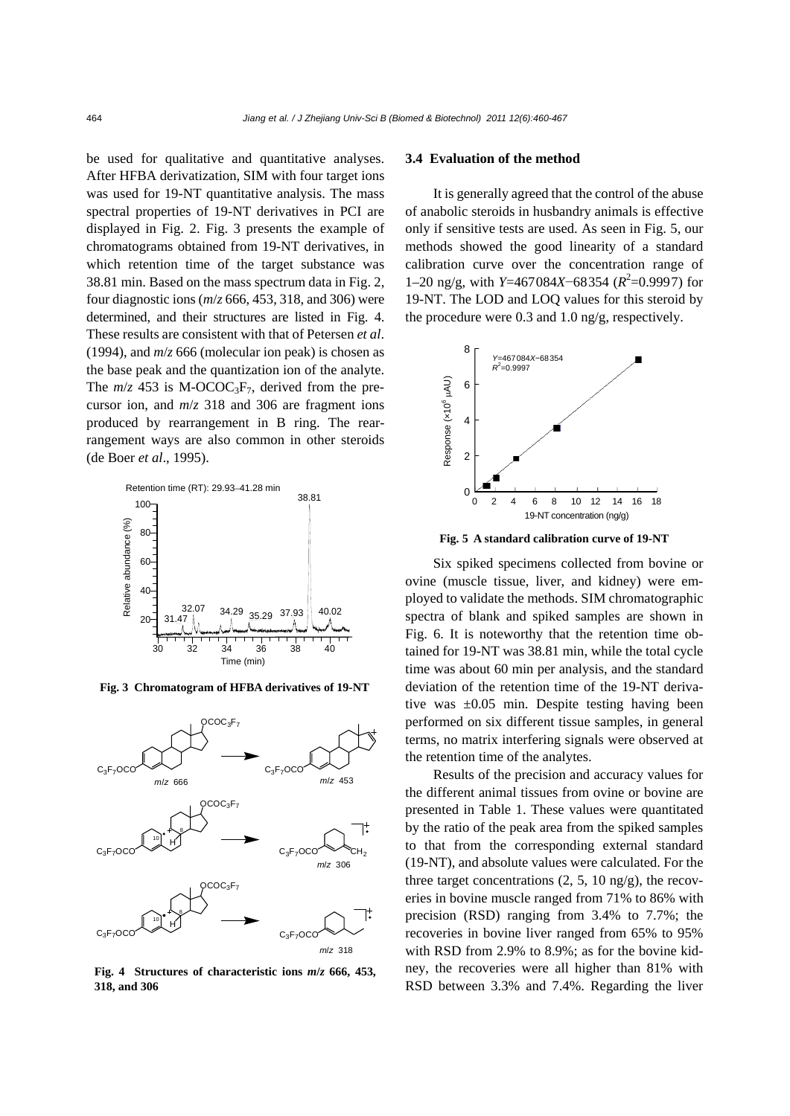be used for qualitative and quantitative analyses. After HFBA derivatization, SIM with four target ions was used for 19-NT quantitative analysis. The mass spectral properties of 19-NT derivatives in PCI are displayed in Fig. 2. Fig. 3 presents the example of chromatograms obtained from 19-NT derivatives, in which retention time of the target substance was 38.81 min. Based on the mass spectrum data in Fig. 2, four diagnostic ions (*m*/*z* 666, 453, 318, and 306) were determined, and their structures are listed in Fig. 4. These results are consistent with that of Petersen *et al*. (1994), and *m*/*z* 666 (molecular ion peak) is chosen as the base peak and the quantization ion of the analyte. The  $m/z$  453 is M-OCOC<sub>3</sub>F<sub>7</sub>, derived from the precursor ion, and *m*/*z* 318 and 306 are fragment ions produced by rearrangement in B ring. The rearrangement ways are also common in other steroids (de Boer *et al*., 1995).



**Fig. 3 Chromatogram of HFBA derivatives of 19-NT**



**Fig. 4 Structures of characteristic ions** *m***/***z* **666, 453, 318, and 306**

# **3.4 Evaluation of the method**

It is generally agreed that the control of the abuse of anabolic steroids in husbandry animals is effective only if sensitive tests are used. As seen in Fig. 5, our methods showed the good linearity of a standard calibration curve over the concentration range of 1–20 ng/g, with *Y*=467084*X*−68354 ( $R^2$ =0.9997) for 19-NT. The LOD and LOQ values for this steroid by the procedure were 0.3 and 1.0 ng/g, respectively.



**Fig. 5 A standard calibration curve of 19-NT**

Six spiked specimens collected from bovine or ovine (muscle tissue, liver, and kidney) were employed to validate the methods. SIM chromatographic spectra of blank and spiked samples are shown in Fig. 6. It is noteworthy that the retention time obtained for 19-NT was 38.81 min, while the total cycle time was about 60 min per analysis, and the standard deviation of the retention time of the 19-NT derivative was ±0.05 min. Despite testing having been performed on six different tissue samples, in general terms, no matrix interfering signals were observed at the retention time of the analytes.

Results of the precision and accuracy values for the different animal tissues from ovine or bovine are presented in Table 1. These values were quantitated by the ratio of the peak area from the spiked samples to that from the corresponding external standard (19-NT), and absolute values were calculated. For the three target concentrations  $(2, 5, 10 \text{ ng/g})$ , the recoveries in bovine muscle ranged from 71% to 86% with precision (RSD) ranging from 3.4% to 7.7%; the recoveries in bovine liver ranged from 65% to 95% with RSD from 2.9% to 8.9%; as for the bovine kidney, the recoveries were all higher than 81% with RSD between 3.3% and 7.4%. Regarding the liver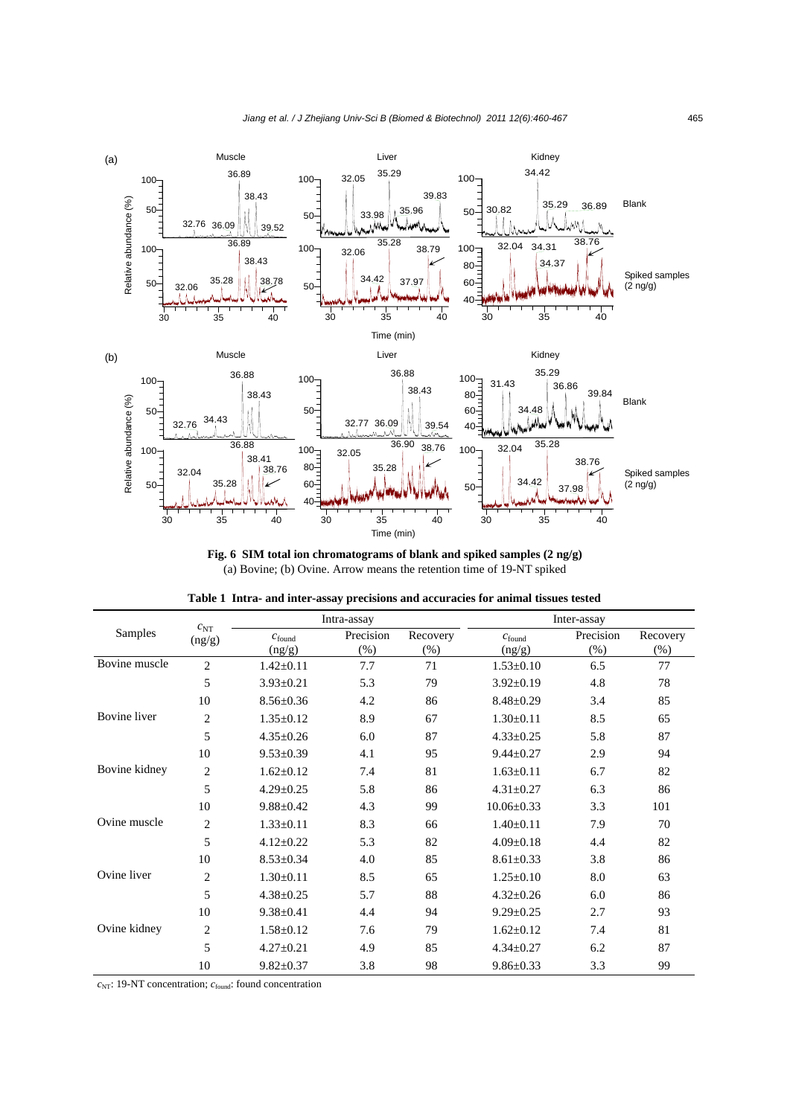

**Fig. 6 SIM total ion chromatograms of blank and spiked samples (2 ng/g)**  (a) Bovine; (b) Ovine. Arrow means the retention time of 19-NT spiked

|               | $c_{NT}$<br>(ng/g) | Intra-assay                  |                     |                     | Inter-assay                  |                     |                    |  |
|---------------|--------------------|------------------------------|---------------------|---------------------|------------------------------|---------------------|--------------------|--|
| Samples       |                    | $c_{\text{found}}$<br>(ng/g) | Precision<br>$(\%)$ | Recovery<br>$(\% )$ | $c_{\text{found}}$<br>(ng/g) | Precision<br>$(\%)$ | Recovery<br>$(\%)$ |  |
| Bovine muscle | $\overline{c}$     | $1.42 \pm 0.11$              | 7.7                 | 71                  | $1.53 \pm 0.10$              | 6.5                 | 77                 |  |
|               | 5                  | $3.93 \pm 0.21$              | 5.3                 | 79                  | $3.92 \pm 0.19$              | 4.8                 | 78                 |  |
|               | 10                 | $8.56 \pm 0.36$              | 4.2                 | 86                  | $8.48 \pm 0.29$              | 3.4                 | 85                 |  |
| Bovine liver  | $\overline{c}$     | $1.35 \pm 0.12$              | 8.9                 | 67                  | $1.30 \pm 0.11$              | 8.5                 | 65                 |  |
|               | 5                  | $4.35 \pm 0.26$              | 6.0                 | 87                  | $4.33 \pm 0.25$              | 5.8                 | 87                 |  |
|               | 10                 | $9.53 \pm 0.39$              | 4.1                 | 95                  | $9.44 \pm 0.27$              | 2.9                 | 94                 |  |
| Bovine kidney | $\overline{2}$     | $1.62 \pm 0.12$              | 7.4                 | 81                  | $1.63 \pm 0.11$              | 6.7                 | 82                 |  |
|               | 5                  | $4.29 \pm 0.25$              | 5.8                 | 86                  | $4.31 \pm 0.27$              | 6.3                 | 86                 |  |
|               | 10                 | $9.88 \pm 0.42$              | 4.3                 | 99                  | $10.06 \pm 0.33$             | 3.3                 | 101                |  |
| Ovine muscle  | $\overline{2}$     | $1.33 \pm 0.11$              | 8.3                 | 66                  | $1.40 \pm 0.11$              | 7.9                 | 70                 |  |
|               | 5                  | $4.12 \pm 0.22$              | 5.3                 | 82                  | $4.09 \pm 0.18$              | 4.4                 | 82                 |  |
|               | 10                 | $8.53 \pm 0.34$              | 4.0                 | 85                  | $8.61 \pm 0.33$              | 3.8                 | 86                 |  |
| Ovine liver   | $\overline{c}$     | $1.30 \pm 0.11$              | 8.5                 | 65                  | $1.25 \pm 0.10$              | 8.0                 | 63                 |  |
|               | 5                  | $4.38 \pm 0.25$              | 5.7                 | 88                  | $4.32 \pm 0.26$              | 6.0                 | 86                 |  |
|               | 10                 | $9.38 \pm 0.41$              | 4.4                 | 94                  | $9.29 \pm 0.25$              | 2.7                 | 93                 |  |
| Ovine kidney  | $\mathbf{2}$       | $1.58 \pm 0.12$              | 7.6                 | 79                  | $1.62 \pm 0.12$              | 7.4                 | 81                 |  |
|               | 5                  | $4.27 \pm 0.21$              | 4.9                 | 85                  | $4.34 \pm 0.27$              | 6.2                 | 87                 |  |
|               | 10                 | $9.82 \pm 0.37$              | 3.8                 | 98                  | $9.86 \pm 0.33$              | 3.3                 | 99                 |  |

|  |  |  | Table 1 Intra- and inter-assay precisions and accuracies for animal tissues tested |  |  |
|--|--|--|------------------------------------------------------------------------------------|--|--|
|  |  |  |                                                                                    |  |  |

*c*<sub>NT</sub>: 19-NT concentration; *c*<sub>found</sub>: found concentration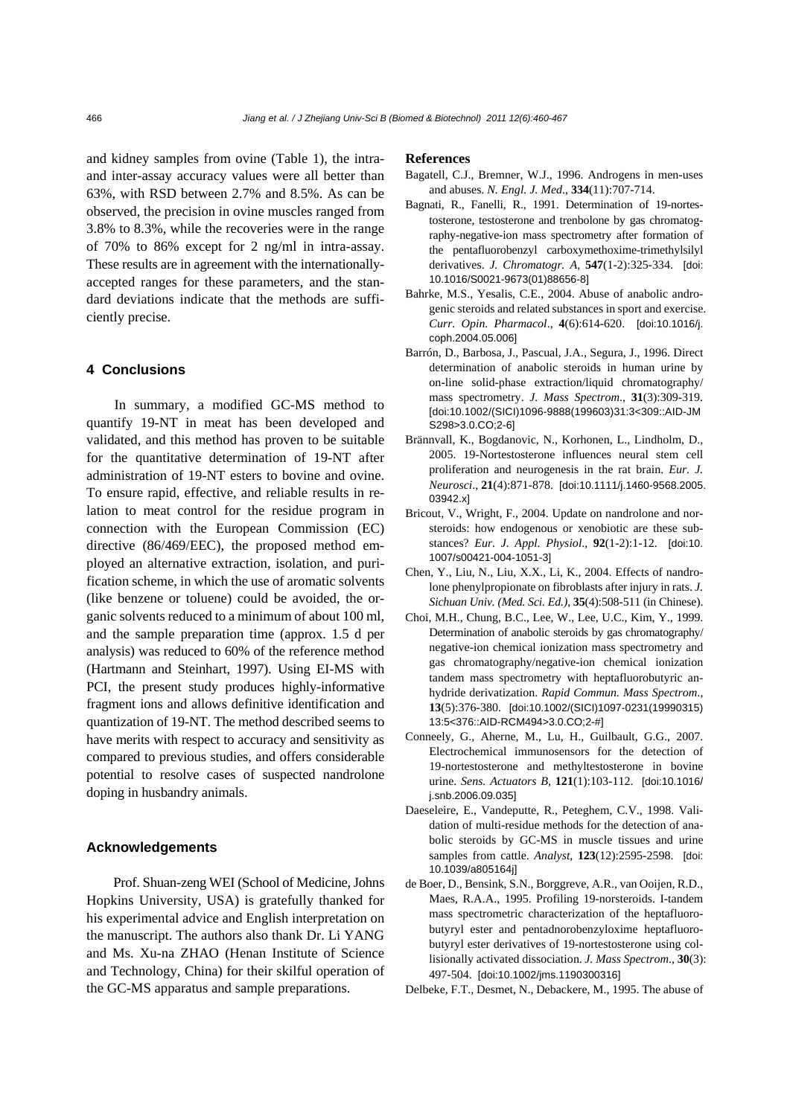and kidney samples from ovine (Table 1), the intraand inter-assay accuracy values were all better than 63%, with RSD between 2.7% and 8.5%. As can be observed, the precision in ovine muscles ranged from 3.8% to 8.3%, while the recoveries were in the range of 70% to 86% except for 2 ng/ml in intra-assay. These results are in agreement with the internationallyaccepted ranges for these parameters, and the standard deviations indicate that the methods are sufficiently precise.

# **4 Conclusions**

In summary, a modified GC-MS method to quantify 19-NT in meat has been developed and validated, and this method has proven to be suitable for the quantitative determination of 19-NT after administration of 19-NT esters to bovine and ovine. To ensure rapid, effective, and reliable results in relation to meat control for the residue program in connection with the European Commission (EC) directive (86/469/EEC), the proposed method employed an alternative extraction, isolation, and purification scheme, in which the use of aromatic solvents (like benzene or toluene) could be avoided, the organic solvents reduced to a minimum of about 100 ml, and the sample preparation time (approx. 1.5 d per analysis) was reduced to 60% of the reference method (Hartmann and Steinhart, 1997). Using EI-MS with PCI, the present study produces highly-informative fragment ions and allows definitive identification and quantization of 19-NT. The method described seems to have merits with respect to accuracy and sensitivity as compared to previous studies, and offers considerable potential to resolve cases of suspected nandrolone doping in husbandry animals.

# **Acknowledgements**

Prof. Shuan-zeng WEI (School of Medicine, Johns Hopkins University, USA) is gratefully thanked for his experimental advice and English interpretation on the manuscript. The authors also thank Dr. Li YANG and Ms. Xu-na ZHAO (Henan Institute of Science and Technology, China) for their skilful operation of the GC-MS apparatus and sample preparations.

#### **References**

- Bagatell, C.J., Bremner, W.J., 1996. Androgens in men-uses and abuses. *N. Engl. J. Med*., **334**(11):707-714.
- Bagnati, R., Fanelli, R., 1991. Determination of 19-nortestosterone, testosterone and trenbolone by gas chromatography-negative-ion mass spectrometry after formation of the pentafluorobenzyl carboxymethoxime-trimethylsilyl derivatives. *J. Chromatogr. A*, **547**(1-2):325-334. [doi: 10.1016/S0021-9673(01)88656-8]
- Bahrke, M.S., Yesalis, C.E., 2004. Abuse of anabolic androgenic steroids and related substances in sport and exercise. *Curr. Opin. Pharmacol*., **4**(6):614-620. [doi:10.1016/j. coph.2004.05.006]
- Barrón, D., Barbosa, J., Pascual, J.A., Segura, J., 1996. Direct determination of anabolic steroids in human urine by on-line solid-phase extraction/liquid chromatography/ mass spectrometry. *J. Mass Spectrom*., **31**(3):309-319. [doi:10.1002/(SICI)1096-9888(199603)31:3<309::AID-JM S298>3.0.CO;2-6]
- Brännvall, K., Bogdanovic, N., Korhonen, L., Lindholm, D., 2005. 19-Nortestosterone influences neural stem cell proliferation and neurogenesis in the rat brain. *Eur. J. Neurosci*., **21**(4):871-878. [doi:10.1111/j.1460-9568.2005. 03942.x]
- Bricout, V., Wright, F., 2004. Update on nandrolone and norsteroids: how endogenous or xenobiotic are these substances? *Eur. J. Appl. Physiol*., **92**(1-2):1-12. [doi:10. 1007/s00421-004-1051-3]
- Chen, Y., Liu, N., Liu, X.X., Li, K., 2004. Effects of nandrolone phenylpropionate on fibroblasts after injury in rats. *J. Sichuan Univ. (Med. Sci. Ed.)*, **35**(4):508-511 (in Chinese).
- Choi, M.H., Chung, B.C., Lee, W., Lee, U.C., Kim, Y., 1999. Determination of anabolic steroids by gas chromatography/ negative-ion chemical ionization mass spectrometry and gas chromatography/negative-ion chemical ionization tandem mass spectrometry with heptafluorobutyric anhydride derivatization. *Rapid Commun. Mass Spectrom*., **13**(5):376-380. [doi:10.1002/(SICI)1097-0231(19990315) 13:5<376::AID-RCM494>3.0.CO;2-#]
- Conneely, G., Aherne, M., Lu, H., Guilbault, G.G., 2007. Electrochemical immunosensors for the detection of 19-nortestosterone and methyltestosterone in bovine urine. *Sens. Actuators B*, **121**(1):103-112. [doi:10.1016/ j.snb.2006.09.035]
- Daeseleire, E., Vandeputte, R., Peteghem, C.V., 1998. Validation of multi-residue methods for the detection of anabolic steroids by GC-MS in muscle tissues and urine samples from cattle. *Analyst*, **123**(12):2595-2598. [doi: 10.1039/a805164j]
- de Boer, D., Bensink, S.N., Borggreve, A.R., van Ooijen, R.D., Maes, R.A.A., 1995. Profiling 19-norsteroids. I-tandem mass spectrometric characterization of the heptafluorobutyryl ester and pentadnorobenzyloxime heptafluorobutyryl ester derivatives of 19-nortestosterone using collisionally activated dissociation. *J. Mass Spectrom*., **30**(3): 497-504. [doi:10.1002/jms.1190300316]
- Delbeke, F.T., Desmet, N., Debackere, M., 1995. The abuse of